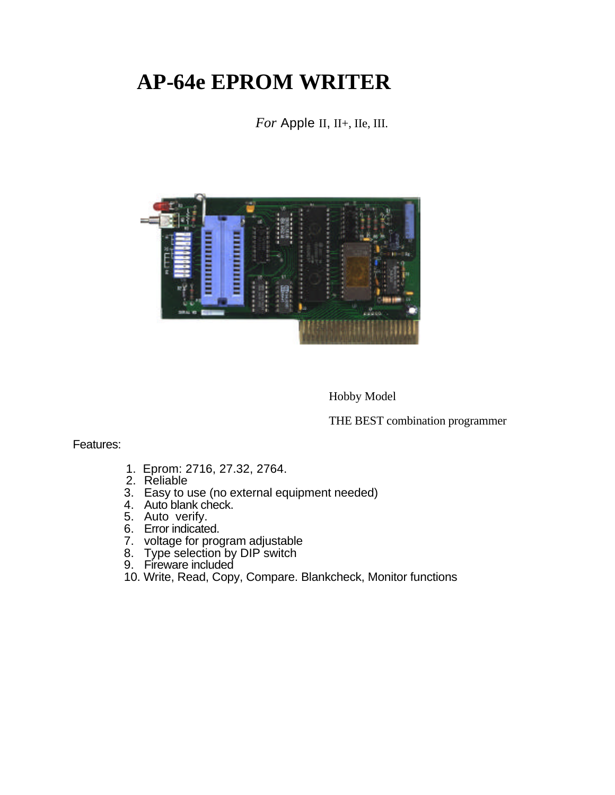## **AP-64e EPROM WRITER**

*For* Apple II, II<sub>+</sub>, II<sub>e</sub>, III.



Hobby Model

THE BEST combination programmer

Features:

- 1. Eprom: 2716, 27.32, 2764.
- 2. Reliable
- 3. Easy to use (no external equipment needed)
- 4. Auto blank check.
- 5. Auto verify.
- 6. Error indicated.
- 7. voltage for program adjustable
- 8. Type selection by DIP switch
- 9. Fireware included
- 10. Write, Read, Copy, Compare. Blankcheck, Monitor functions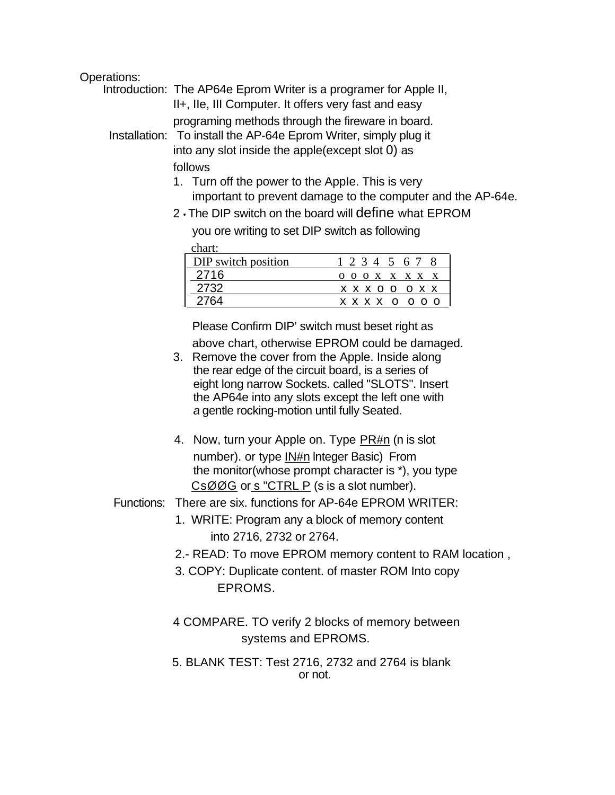## Operations:

| Introduction: The AP64e Eprom Writer is a programer for Apple II, |
|-------------------------------------------------------------------|
| II+, IIe, III Computer. It offers very fast and easy              |
| programing methods through the fireware in board.                 |
| Installation: To install the AP-64e Eprom Writer, simply plug it  |
| into any slot inside the apple(except slot 0) as                  |
| follows                                                           |
| 1. Turn off the power to the Apple. This is very                  |

- important to prevent damage to the computer and the AP-64e.
- 2 The DIP switch on the board will define what EPROM you ore writing to set DIP switch as following

chart:

| DIP switch position | 1 2 3 4 5 6 7                   |
|---------------------|---------------------------------|
|                     | $0$ $0$ $0$ $X$ $X$ $X$ $X$ $X$ |
|                     | X X X O O O X X                 |
|                     | x x x x<br>$\Omega$             |

Please Confirm DIP' switch must beset right as above chart, otherwise EPROM could be damaged.

- 3. Remove the cover from the Apple. Inside along the rear edge of the circuit board, is a series of eight long narrow Sockets. called "SLOTS". Insert the AP64e into any slots except the left one with *a* gentle rocking-motion until fully Seated.
- 4. Now, turn your Apple on. Type PR#n (n is slot number). or type IN#n lnteger Basic) From the monitor(whose prompt character is \*), you type CsØØG or s "CTRL P (s is a sIot number).
- Functions: There are six. functions for AP-64e EPROM WRITER:
	- 1. WRITE: Program any a block of memory content into 2716, 2732 or 2764.
	- 2.- READ: To move EPROM memory content to RAM location ,
	- 3. COPY: Duplicate content. of master ROM Into copy EPROMS.
	- 4 COMPARE. TO verify 2 blocks of memory between systems and EPROMS.
	- 5. BLANK TEST: Test 2716, 2732 and 2764 is blank or not.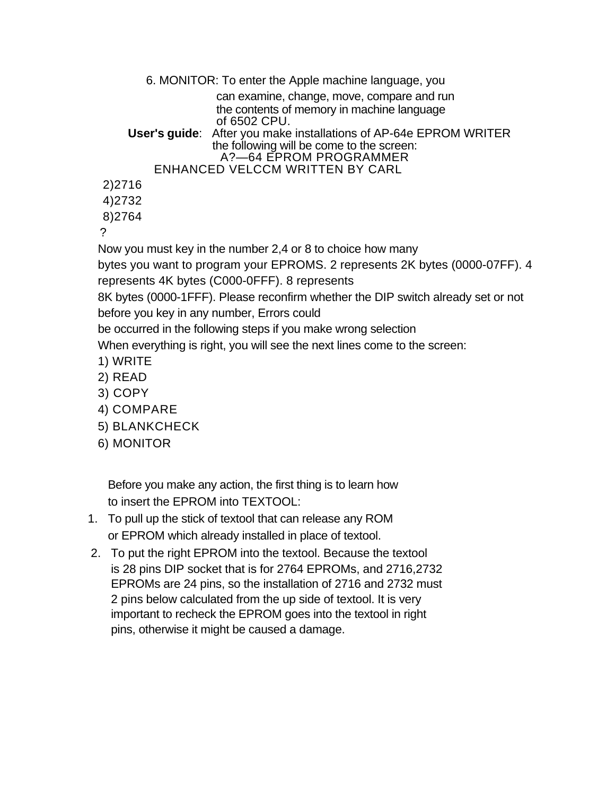```
6. MONITOR: To enter the Apple machine language, you 
                  can examine, change, move, compare and run
                  the contents of memory in machine language
                  of 6502 CPU.
    User's guide: After you make installations of AP-64e EPROM WRITER
                  the following will be come to the screen:
                   A?—64 EPROM PROGRAMMER
        ENHANCED VELCCM WRITTEN BY CARL
2)2716
4)2732
8)2764
```
?

Now you must key in the number 2,4 or 8 to choice how many

bytes you want to program your EPROMS. 2 represents 2K bytes (0000-07FF). 4 represents 4K bytes (C000-0FFF). 8 represents

8K bytes (0000-1FFF). Please reconfirm whether the DIP switch already set or not before you key in any number, Errors could

be occurred in the following steps if you make wrong selection

When everything is right, you will see the next lines come to the screen:

- 1) WRITE
- 2) READ
- 3) COPY
- 4) COMPARE
- 5) BLANKCHECK
- 6) MONITOR

Before you make any action, the first thing is to learn how to insert the EPROM into TEXTOOL:

- 1. To pull up the stick of textool that can release any ROM or EPROM which already installed in place of textool.
- 2. To put the right EPROM into the textool. Because the textool is 28 pins DIP socket that is for 2764 EPROMs, and 2716,2732 EPROMs are 24 pins, so the installation of 2716 and 2732 must 2 pins below calculated from the up side of textool. It is very important to recheck the EPROM goes into the textool in right pins, otherwise it might be caused a damage.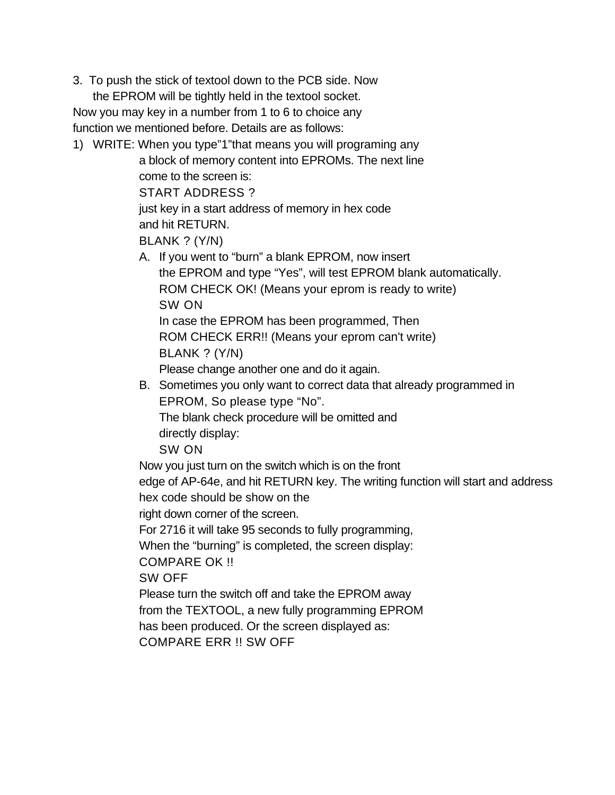3. To push the stick of textool down to the PCB side. Now

the EPROM will be tightly held in the textool socket. Now you may key in a number from 1 to 6 to choice any function we mentioned before. Details are as follows:

1) WRITE: When you type"1"that means you will programing any

a block of memory content into EPROMs. The next line come to the screen is: START ADDRESS ? just key in a start address of memory in hex code and hit RETURN. BLANK ? (Y/N) A. If you went to "burn" a blank EPROM, now insert the EPROM and type "Yes", will test EPROM blank automatically. ROM CHECK OK! (Means your eprom is ready to write) SW ON In case the EPROM has been programmed, Then ROM CHECK ERR!! (Means your eprom can't write) BLANK ? (Y/N) Please change another one and do it again. B. Sometimes you only want to correct data that already programmed in EPROM, So please type "No". The blank check procedure will be omitted and directly display: SW ON Now you just turn on the switch which is on the front edge of AP-64e, and hit RETURN key. The writing function will start and address hex code should be show on the right down corner of the screen. For 2716 it will take 95 seconds to fully programming, When the "burning" is completed, the screen display:

COMPARE OK !!

SW OFF

Please turn the switch off and take the EPROM away from the TEXTOOL, a new fully programming EPROM has been produced. Or the screen displayed as:

COMPARE ERR !! SW OFF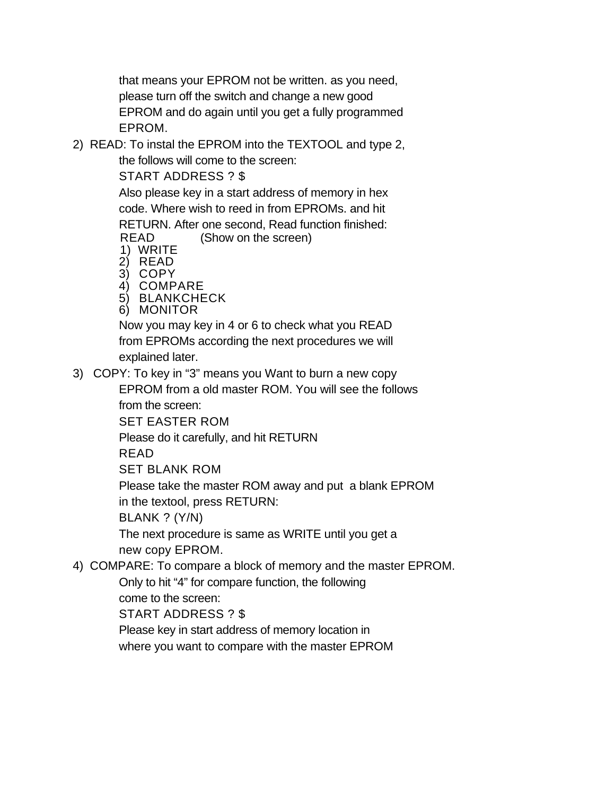that means your EPROM not be written. as you need, please turn off the switch and change a new good EPROM and do again until you get a fully programmed EPROM.

2) READ: To instal the EPROM into the TEXTOOL and type 2,

the follows will come to the screen:

START ADDRESS ? \$

Also please key in a start address of memory in hex code. Where wish to reed in from EPROMs. and hit RETURN. After one second, Read function finished: READ (Show on the screen)

- 1) WRITE
- 2) READ
- 3) COPY
- 4) COMPARE
- 5) BLANKCHECK
- 6) MONITOR

Now you may key in 4 or 6 to check what you READ from EPROMs according the next procedures we will explained later.

3) COPY: To key in "3" means you Want to burn a new copy

EPROM from a old master ROM. You will see the follows from the screen:

SET EASTER ROM

Please do it carefully, and hit RETURN

READ

SET BLANK ROM

Please take the master ROM away and put a blank EPROM in the textool, press RETURN:

BLANK ? (Y/N)

The next procedure is same as WRITE until you get a new copy EPROM.

4) COMPARE: To compare a block of memory and the master EPROM.

Only to hit "4" for compare function, the following come to the screen:

START ADDRESS ? \$

Please key in start address of memory location in where you want to compare with the master EPROM